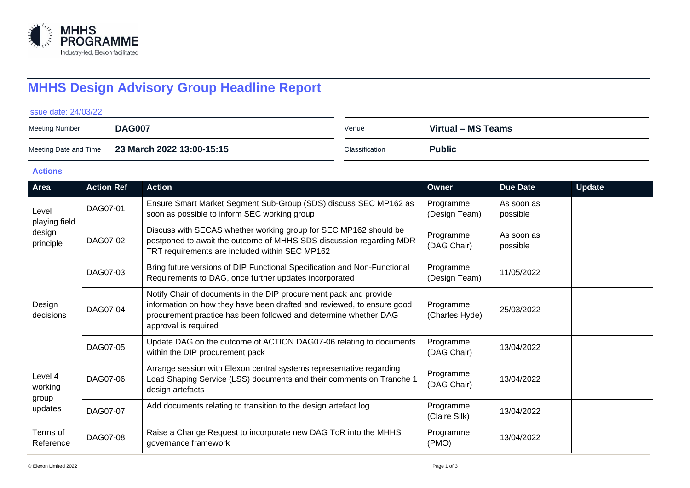

# **MHHS Design Advisory Group Headline Report**

#### Issue date: 24/03/22

| Meeting Number        | <b>DAG007</b>             | Venue          | Virtual – MS Teams |
|-----------------------|---------------------------|----------------|--------------------|
| Meeting Date and Time | 23 March 2022 13:00-15:15 | Classification | <b>Public</b>      |

### **Actions**

| Area                                          | <b>Action Ref</b> | <b>Action</b>                                                                                                                                                                                                                           | Owner                       | <b>Due Date</b>        | <b>Update</b> |
|-----------------------------------------------|-------------------|-----------------------------------------------------------------------------------------------------------------------------------------------------------------------------------------------------------------------------------------|-----------------------------|------------------------|---------------|
| Level<br>playing field<br>design<br>principle | DAG07-01          | Ensure Smart Market Segment Sub-Group (SDS) discuss SEC MP162 as<br>soon as possible to inform SEC working group                                                                                                                        | Programme<br>(Design Team)  | As soon as<br>possible |               |
|                                               | DAG07-02          | Discuss with SECAS whether working group for SEC MP162 should be<br>postponed to await the outcome of MHHS SDS discussion regarding MDR<br>TRT requirements are included within SEC MP162                                               | Programme<br>(DAG Chair)    | As soon as<br>possible |               |
| Design<br>decisions                           | DAG07-03          | Bring future versions of DIP Functional Specification and Non-Functional<br>Requirements to DAG, once further updates incorporated                                                                                                      | Programme<br>(Design Team)  | 11/05/2022             |               |
|                                               | DAG07-04          | Notify Chair of documents in the DIP procurement pack and provide<br>information on how they have been drafted and reviewed, to ensure good<br>procurement practice has been followed and determine whether DAG<br>approval is required | Programme<br>(Charles Hyde) | 25/03/2022             |               |
|                                               | DAG07-05          | Update DAG on the outcome of ACTION DAG07-06 relating to documents<br>within the DIP procurement pack                                                                                                                                   | Programme<br>(DAG Chair)    | 13/04/2022             |               |
| Level 4<br>working<br>group<br>updates        | DAG07-06          | Arrange session with Elexon central systems representative regarding<br>Load Shaping Service (LSS) documents and their comments on Tranche 1<br>design artefacts                                                                        | Programme<br>(DAG Chair)    | 13/04/2022             |               |
|                                               | DAG07-07          | Add documents relating to transition to the design artefact log                                                                                                                                                                         | Programme<br>(Claire Silk)  | 13/04/2022             |               |
| Terms of<br>Reference                         | DAG07-08          | Raise a Change Request to incorporate new DAG ToR into the MHHS<br>governance framework                                                                                                                                                 | Programme<br>(PMO)          | 13/04/2022             |               |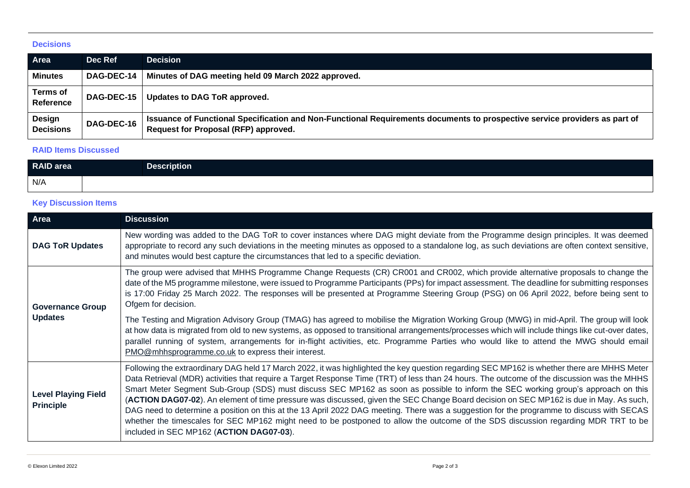#### **Decisions**

| Area                              | Dec Ref           | <b>Decision</b>                                                                                                                                                    |
|-----------------------------------|-------------------|--------------------------------------------------------------------------------------------------------------------------------------------------------------------|
| <b>Minutes</b>                    | DAG-DEC-14        | Minutes of DAG meeting held 09 March 2022 approved.                                                                                                                |
| <b>Terms of</b><br>Reference      | <b>DAG-DEC-15</b> | Updates to DAG ToR approved.                                                                                                                                       |
| <b>Design</b><br><b>Decisions</b> | <b>DAG-DEC-16</b> | Issuance of Functional Specification and Non-Functional Requirements documents to prospective service providers as part of<br>Request for Proposal (RFP) approved. |

## **RAID Items Discussed**

| <b>RAID</b> area | Description <sup>1</sup> |
|------------------|--------------------------|
| N/A              |                          |

## **Key Discussion Items**

| Area                                           | <b>Discussion</b>                                                                                                                                                                                                                                                                                                                                                                                                                                                                                                                                                                                                                                                                                                                                                                                                                                                                                                                                        |  |
|------------------------------------------------|----------------------------------------------------------------------------------------------------------------------------------------------------------------------------------------------------------------------------------------------------------------------------------------------------------------------------------------------------------------------------------------------------------------------------------------------------------------------------------------------------------------------------------------------------------------------------------------------------------------------------------------------------------------------------------------------------------------------------------------------------------------------------------------------------------------------------------------------------------------------------------------------------------------------------------------------------------|--|
| <b>DAG ToR Updates</b>                         | New wording was added to the DAG ToR to cover instances where DAG might deviate from the Programme design principles. It was deemed<br>appropriate to record any such deviations in the meeting minutes as opposed to a standalone log, as such deviations are often context sensitive,<br>and minutes would best capture the circumstances that led to a specific deviation.                                                                                                                                                                                                                                                                                                                                                                                                                                                                                                                                                                            |  |
| <b>Governance Group</b><br><b>Updates</b>      | The group were advised that MHHS Programme Change Requests (CR) CR001 and CR002, which provide alternative proposals to change the<br>date of the M5 programme milestone, were issued to Programme Participants (PPs) for impact assessment. The deadline for submitting responses<br>is 17:00 Friday 25 March 2022. The responses will be presented at Programme Steering Group (PSG) on 06 April 2022, before being sent to<br>Ofgem for decision.<br>The Testing and Migration Advisory Group (TMAG) has agreed to mobilise the Migration Working Group (MWG) in mid-April. The group will look<br>at how data is migrated from old to new systems, as opposed to transitional arrangements/processes which will include things like cut-over dates,<br>parallel running of system, arrangements for in-flight activities, etc. Programme Parties who would like to attend the MWG should email<br>PMO@mhhsprogramme.co.uk to express their interest. |  |
| <b>Level Playing Field</b><br><b>Principle</b> | Following the extraordinary DAG held 17 March 2022, it was highlighted the key question regarding SEC MP162 is whether there are MHHS Meter<br>Data Retrieval (MDR) activities that require a Target Response Time (TRT) of less than 24 hours. The outcome of the discussion was the MHHS<br>Smart Meter Segment Sub-Group (SDS) must discuss SEC MP162 as soon as possible to inform the SEC working group's approach on this<br>(ACTION DAG07-02). An element of time pressure was discussed, given the SEC Change Board decision on SEC MP162 is due in May. As such,<br>DAG need to determine a position on this at the 13 April 2022 DAG meeting. There was a suggestion for the programme to discuss with SECAS<br>whether the timescales for SEC MP162 might need to be postponed to allow the outcome of the SDS discussion regarding MDR TRT to be<br>included in SEC MP162 (ACTION DAG07-03).                                                 |  |